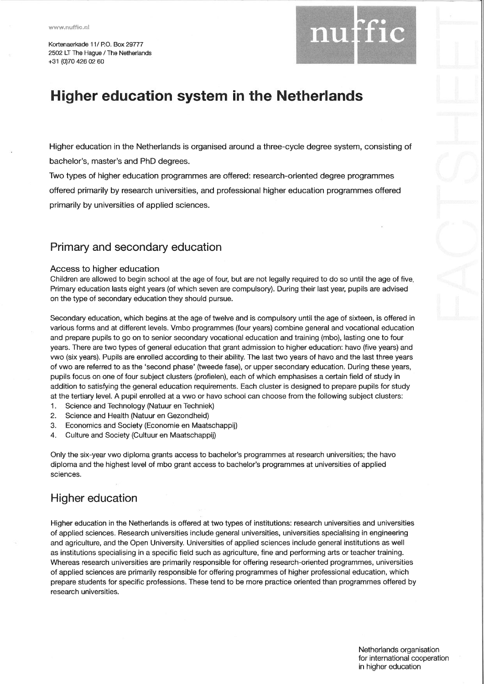Kortenaerkade 11/ P.O. Box 29777 2502 LT The Hague / The Netherlands+31 (0)70 426 02 60



# Higher education system in the Netherlands

Higher education in the Netherlands is organised around a three-cycle degree system, consisting ofbachelor's, master's and PhD degrees.

Two types of higher education programmes are offered: research-oriented degree programmesoffered primarily by research universities, and professional higher education programmes offeredprimarily by universities of applied sciences.

### Primary and secondary education

### Access to higher education

 Children are allowed to begin school at the age of four, but are not legally required to do so until the age of five Primary education lasts eight years (of which seven are compulsory). During their last year, pupils are advisedon the type of secondary education they should pursue.

Secondary education, which begins at the age of twelve and is compulsory until the age of sixteen, is offered in various forms and at different levels. Vmbo programmes (four years) combine general and vocational educationand prepare pupils to go on to senior secondary vocational education and training (mbo), lasting one to fouryears. There are two types of general education that grant admission to higher education: havo (five years) and vwo (six years). Pupils are enrolled according to their ability. The last two years of havo and the last three yearsof vwo are referred to as the 'second phase' (tweede fase), or upper secondary education. During these years pupils focus on one of four subject clusters (profielen), each of which emphasises a certain field of study in addition to satisfying the general education requirements. Each cluster is designed to prepare pupils for studyat the tertiary level. A pupil enrolled at a vwo or havo school can choose from the following subject clusters:

- 'l . Science and Technology (Natuur en Techniek)
- 2. Science and Health (Natuur en Gezondheid)
- 3, Economics and Society (Economie en Maatschappij)
- 4. Culture and Society (Cultuur en Maatschappij)

Only the six-year vwo diploma grants access to bachelor's programmes at research universities; the havodiploma and the highest level of mbo grant access to bachelor's programmes at universities of appliedsciences.

## Higher education

Higher education in the Netherlands is offered at two types of institutions: research universities and universitiesof applied sciences. Research universities include general universities, universities specialising in engineering and agriculture, and the Open University. Universities of applied sciences include general institutions as well as institutions specialising in a specific field such as agriculture, fine and performing arts or teacher training.Whereas research universities are primarily responsible for offering research-oriented programmes, universities of applied sciences are primarily responsible for offering programmes of higher professional education, which prepare students for specific professions. These tend to be more practice oriented than programmes offered byresearch universities.

> Netherlands organisationfor international cooperation in higher education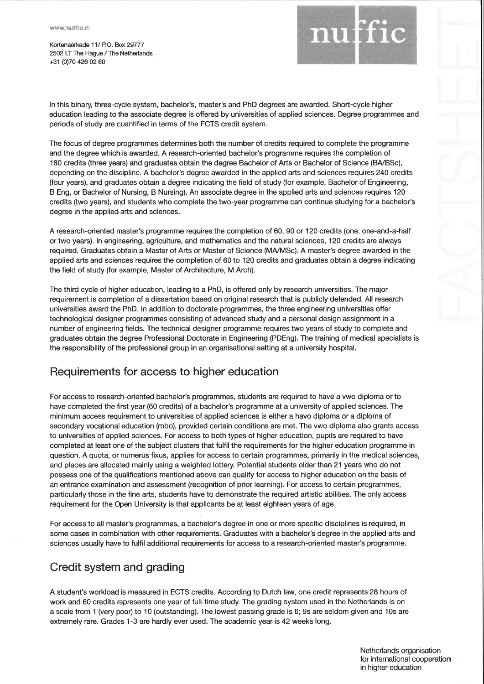Kortenaerkade 11/ P.O. Box 29777 2502 LT The Hague / The Netherlands+31 @70 426 02 60



ln this binary three-cycle system, bachelor's, master's and PhD degrees are awarded. Short-cycle highereducation leading to the associate degree is offered by universities of applied sciences. Degree programmes anc periods of study are quantified in terms of the ECTS credit system.

The focus of degree programmes determines both the number of credits required to complete the programmeand the degree which is awarded. A research-oriented bachelor's programme requires the completion of180 credits (three years) and graduates obtain the degree Bachelor of Arts or Bachelor of Science (BA/BSc), depending on the discipline. A bachelor's degree awarded in the applied arts and sciences requires 240 credits (four years), and graduates obtain a degree indicating the field of study (for example, Bachelor of Engineering,B Eng, or Bachelor of Nursing, B Nursing). An associate degree in the applied arts and sciences requires <sup>120</sup> credits (two years), and students who complete the two-year programme can continue studying for a bachelor'sdegree in the applied arts and sciences.

A research-oriented master's programme requires the completion of 60, 90 or 120 credits (one, one-and-a-halfor two years). ln engineering, agriculture, and mathematics and the natural sciences, 120 credits are always required. Graduates obtain a Master of Arts or Master of Science (MA/MSc). A master's degree awarded in the applied arts and sciences requires the completion of 60 to 120 credits and graduates obtain a degree indicatingthe field of study (for example, Master of Architecture, M Arch).

The third cycle of higher education, leading to a PhD, is offered only by research universities. The majorrequirement is completion of a dissertation based on original research that is publicly defended. All research universities award the PhD. ln addition to doctorate programmes, the three engineering universities offertechnological designer programmes consisting of advanced study and a personal design assignment in a number of engineering fields. The technical designer programme requires two years of study to complete and graduates obtain the degree Professional Doctorate in Engineering (PDEng). The training of medical specialists isthe responsibility of the professional group in an organisational setting at a university hospital.

## Requirements for access to higher education

For access to research-oriented bachelor's programmes, students are required to have a vwo diploma or to have completed the first year (60 credits) of a bachelor's programme at a university of applied sciences. Theminimum access requirement to universities of applied sciences is either a havo diploma or a diploma ofsecondary vocational education (mbo), provided certain conditions are met. The vwo diploma also grants accessto universities of applied sciences. For access to both types of higher education, pupils are required to have completed at least one of the subject clusters that fulfil the requirements for the higher education programme in question. A quota, or numerus fixus, applies for access to certain programmes, primarily in the medical sciences,and places are allocated mainly using a weighted lottery. Potential students older than 21 years who do notpossess one of the qualifications mentioned above can qualify for access to higher education on the basis ofan entrance examination and assessment (recognition of prior learning). For access to certain programmes, particularly those in the fine arts, students have to demonstrate the required artistic abilities. The only accessrequirement for the Open University is that applicants be at least eighteen years of age.

For access to all master's programmes, a bachelor's degree in one or more specific disciplines is required, in some cases in combination with other requirements. Graduates with a bachelor's degree in the applied arts andsciences usually have to fulfil additional requirements for access to a research-oriented master's programme.

## Credit system and grading

A student's workload is measured in ECTS credits. According to Dutch law, one credit represents 28 hours of work and 60 credits represents one year of full-time study. The grading system used in the Netherlands is on a scale from 1 (very poor) to 10 (outstanding). The lowest passing grade is 6; 9s are seldom given and 10s areextremely rare. Grades 1-3 are hardly ever used. The academic year is 42 weeks long.

Netherlands organisationfor international cooperation

in higher education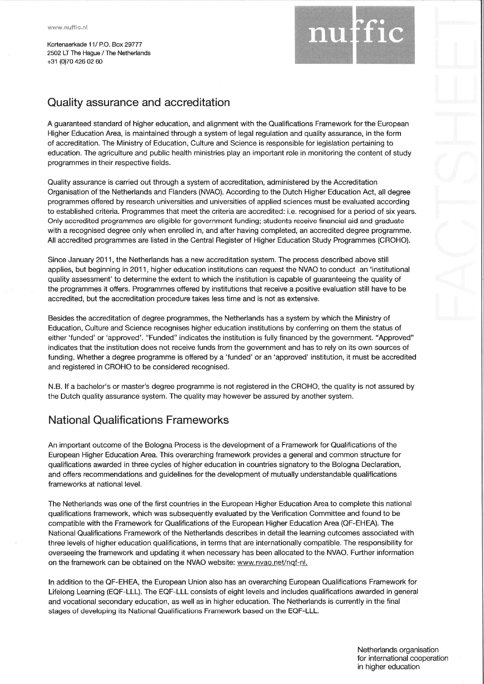Kortenaekade 11/ P.O. Box29777 2502 LT The Hague / The Netherlands+31 (0)7042602 60

## Quality assurance and accreditation

A guaranteed standard of higher education, and alignment with the Qualifications Framework for the EuropeanHigher Education Area, is maintained through a system of legal regulation and quality assurance, in the formof accreditation. The Ministry of Education, Culture and Science is responsible for legislation pertaining to education. The agriculture and public health ministries play an important role in monitoring the content of studyprogrammes in their respective fields.

Quality assurance is carried out through a system of accreditation, administered by the Accreditation Organisation of the Netherlands and Flanders (NVAO). According to the Dutch Higher Education Act, all degree programmes offered by research universities and universities of applied sciences must be evaluated accordingto established criteria. Programmes that meet the criteria are accredited: i.e. recognised for a period of six years Only accredited programmes are eligible for government funding; students receive financial aid and graduate with a recognised degree only when enrolled in, and after having completed, an accredited degree programme. All accredited programmes are listed in the Central Register of Higher Education Study Programmes (CROHO).

Since January 2011, the Netherlands has a new accreditation system. The process described above stillapplies, but beginning in 2011, higher education institutions can request the NVAO to conduct an 'institutional quality assessment' to determine the extent to which the institution is capable of guaranteeing the quality ofthe programmes it offers. Programmes offered by institutions that receive a positive evaluation still have to beaccredited, but the accreditation procedure takes less time and is not as extensive.

Besides the accreditation of degree programmes, the Netherlands has a system by which the Ministry ofEducation, Culture and Science recognises higher education institutions by conferring on them the status ofeither 'funded' or 'approved'. "Funded" indicates the institution is fully financed by the government. "Approved indicates that the institution does not receive funds from the government and has to rely on its own sources offunding. Whether a degree programme is offered by a 'funded' or an 'approved' institution, it must be accreditedand registered in CROHO to be considered recognised.

N.B. lf a bachelor's or master's degree programme is not registered in the CROHO, the quality is not assured bythe Dutch quality assurance system. The quality may however be assured by another system.

## National Qualifications Frameworks

An important outcome of the Bologna Process is the development of a Framework for Qualifications of the European Higher Education Area. This overarching framework provides a general and common structure forqualifications awarded in three cycles of higher education in countries signatory to the Bologna Declaration,and offers recommendations and guidelines for the development of mutually understandable qualificationsframeworks at national level.

The Netherlands was one of the first countries in the European Higher Education Area to complete this national qualifications framework, which was subsequently evaluated by the Verification Committee and found to becompatible with the Framework for Qualifications of the European Higher Education Area (QF-EHEA). The National Qualifications Framework of the Netherlands describes in detail the learning outcomes associated with three levels of higher education qualifications, in terms that are internationally compatible. The responsibility foroverseeing the framework and updating it when necessary has been allocated to the NVAO. Further informationon the framework can be obtained on the NVAO website: www.nvao.net/nqf-nl.

ln addition to the QF-EHEA, the European Union also has an overarching European Qualifications Framework forLifelong Learning (EQF-LLL). The EQF-LLL consists of eight levels and includes qualifications awarded in genera and vocational secondary education, as well as in higher education. The Netherlands is currently in the final stages of developing its National Qualifications Framework based on the EQF-LLL.

nuffi

Netherlands organisationfor international cooperation in higher education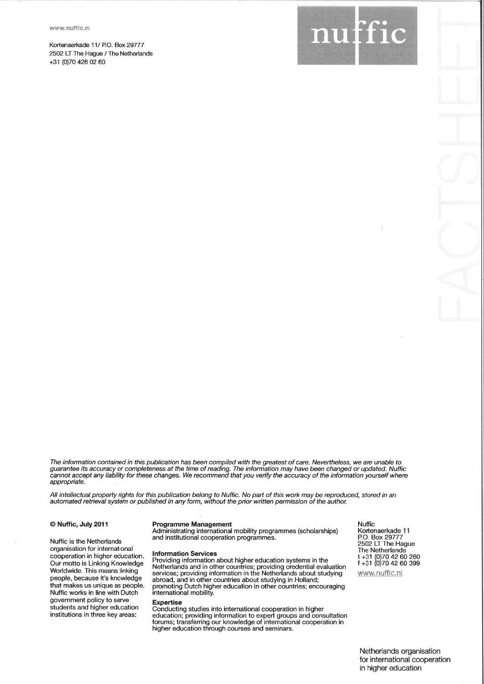Kortenaerkade 11/ P.O. 8ox29777 2502 LT The Hague / The Netherlands+31 (0)70 426 02 60



The information contained in this publication has been compiled with the greatest of care. Nevertheless, we are unable toguarantee its accuracy or completeness at the time of reading. The information may have been changed or updated. Nuffic<br>cannot accept any liability for these changes. We recommend that you verify the accuracy of the inform appropriate.

All intellectual propefty rights for this publication belong to Nuffic. No part of this work may be reproduced, stored in anautomated retieval system or published in any form, without the pior witten permission of the authon

### @ Nuffic, July 2011

Nuffic is the Netherlandsorganisation for internationa cooperation in higher education. Our motto is Linking KnowledgeWorldwide. This means linking people, because it's knowledge that makes us unique as people. Nuffic works in line with Dutchgovernment policy to serve students and higher educationinstitutions in three key areas:

### Programme Management

Administrating international mobility programmes (scholarships)and institutional cooperation programmes.

lnformation Services

 Providing information about higher education systems in the Netherlands and in other countries; providing credential evaluation services; providing information in the Netherlands about studyingabroad, and in other countries about studying in Holland;<br>promoting Dutch higher education in other countries; encouraging<br>international mobility.

### Expertise

 Conducting studies into international cooperation in higher education; providing information to expert groups and consultation forums; transfening our knowledge of international cooperation inhigher education through courses and seminars.

NufficKortenaerkade 1<sup>.</sup> P.O.Box29777 2502 LI The Hague The Netherlands t +31 f +31(0)70 (0)704260 260 42 60 399

www.nuffic.n

Netherlands organisationfor international cooperation in higher education